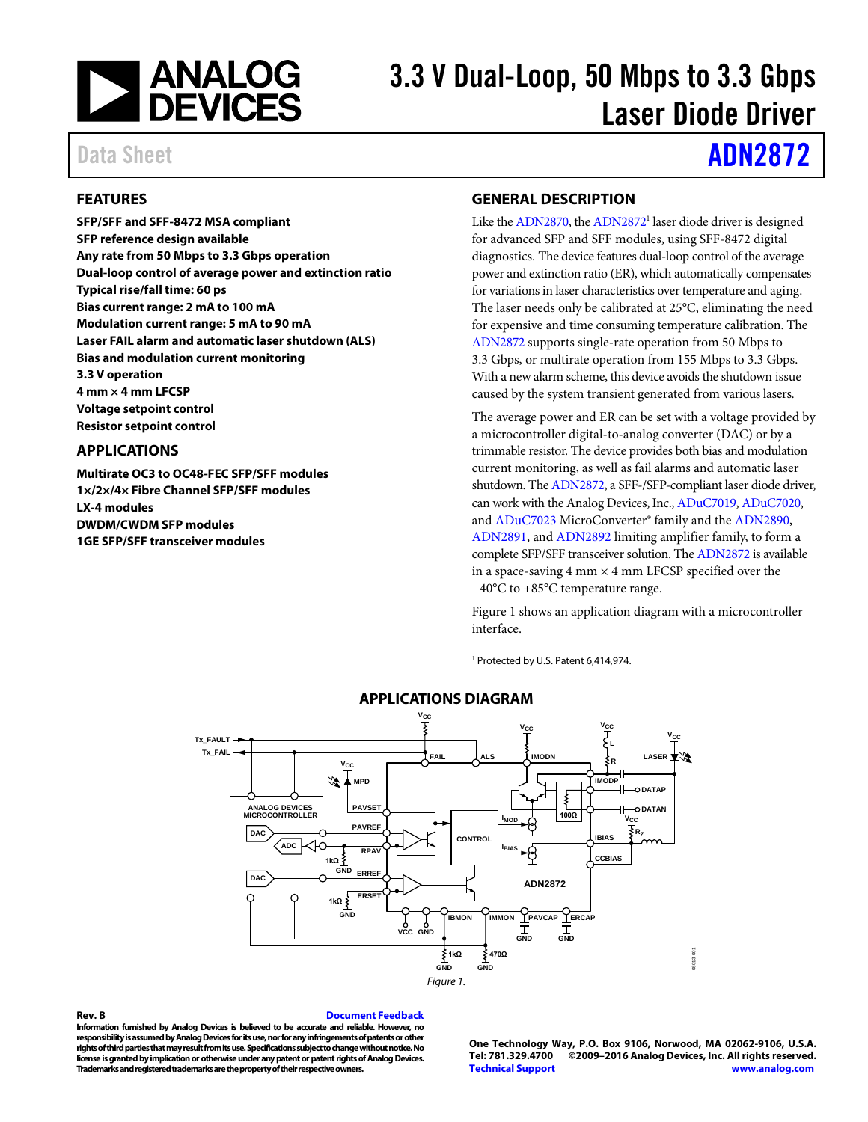

# 3.3 V Dual-Loop, 50 Mbps to 3.3 Gbps Laser Diode Driver

# Data Sheet **[ADN2872](http://www.analog.com/ADN2872?doc=ADN2872.pdf)**

### <span id="page-0-1"></span>**FEATURES**

**SFP/SFF and SFF-8472 MSA compliant SFP reference design available Any rate from 50 Mbps to 3.3 Gbps operation Dual-loop control of average power and extinction ratio Typical rise/fall time: 60 ps Bias current range: 2 mA to 100 mA Modulation current range: 5 mA to 90 mA Laser FAIL alarm and automatic laser shutdown (ALS) Bias and modulation current monitoring 3.3 V operation 4 mm × 4 mm LFCSP Voltage setpoint control Resistor setpoint control**

#### <span id="page-0-2"></span>**APPLICATIONS**

**Multirate OC3 to OC48-FEC SFP/SFF modules 1×/2×/4× Fibre Channel SFP/SFF modules LX-4 modules DWDM/CWDM SFP modules 1GE SFP/SFF transceiver modules**

#### <span id="page-0-3"></span>**GENERAL DESCRIPTION**

Like the  $\text{ADN2870}$ , the  $\text{ADN2872}^1$  laser diode driver is designed for advanced SFP and SFF modules, using SFF-8472 digital diagnostics. The device features dual-loop control of the average power and extinction ratio (ER), which automatically compensates for variations in laser characteristics over temperature and aging. The laser needs only be calibrated at 25°C, eliminating the need for expensive and time consuming temperature calibration. The [ADN2872](http://www.analog.com/ADN2872?doc=ADN2872.pdf) supports single-rate operation from 50 Mbps to 3.3 Gbps, or multirate operation from 155 Mbps to 3.3 Gbps. With a new alarm scheme, this device avoids the shutdown issue caused by the system transient generated from various lasers.

The average power and ER can be set with a voltage provided by a microcontroller digital-to-analog converter (DAC) or by a trimmable resistor. The device provides both bias and modulation current monitoring, as well as fail alarms and automatic laser shutdown. Th[e ADN2872,](http://www.analog.com/ADN2872?doc=ADN2872.pdf) a SFF-/SFP-compliant laser diode driver, can work with the Analog Devices, Inc.[, ADuC7019,](http://www.analog.com/ADuC7019?doc=ADN2872.pdf) [ADuC7020,](http://www.analog.com/ADuC7020?doc=ADN2872.pdf)  an[d ADuC7023](http://www.analog.com/ADuC7023?doc=ADN2872.pdf) MicroConverter® family and th[e ADN2890,](http://www.analog.com/ADN2890?doc=ADN2872.pdf) [ADN2891,](http://www.analog.com/ADN2891?doc=ADN2872.pdf) an[d ADN2892](http://www.analog.com/ADN2892?doc=ADN2872.pdf) limiting amplifier family, to form a complete SFP/SFF transceiver solution. The [ADN2872](http://www.analog.com/ADN2872?doc=ADN2872.pdf) is available in a space-saving 4 mm  $\times$  4 mm LFCSP specified over the −40°C to +85°C temperature range.

[Figure 1](#page-0-0) shows an application diagram with a microcontroller interface.

<sup>1</sup> Protected by U.S. Patent 6,414,974.

<span id="page-0-4"></span>

#### **APPLICATIONS DIAGRAM**

#### <span id="page-0-0"></span>**Rev. B [Document Feedback](https://form.analog.com/Form_Pages/feedback/documentfeedback.aspx?doc=ADN2872.pdf&product=ADN2872&rev=B)**

**Information furnished by Analog Devices is believed to be accurate and reliable. However, no responsibility is assumed by Analog Devices for its use, nor for any infringements of patents or other rights of third parties that may result from its use. Specifications subject to change without notice. No license is granted by implication or otherwise under any patent or patent rights of Analog Devices. Trademarks and registered trademarks are the property of their respective owners.**

**One Technology Way, P.O. Box 9106, Norwood, MA 02062-9106, U.S.A. Tel: 781.329.4700 ©2009–2016 Analog Devices, Inc. All rights reserved. [Technical Support](http://www.analog.com/en/content/technical_support_page/fca.html) [www.analog.com](http://www.analog.com/)**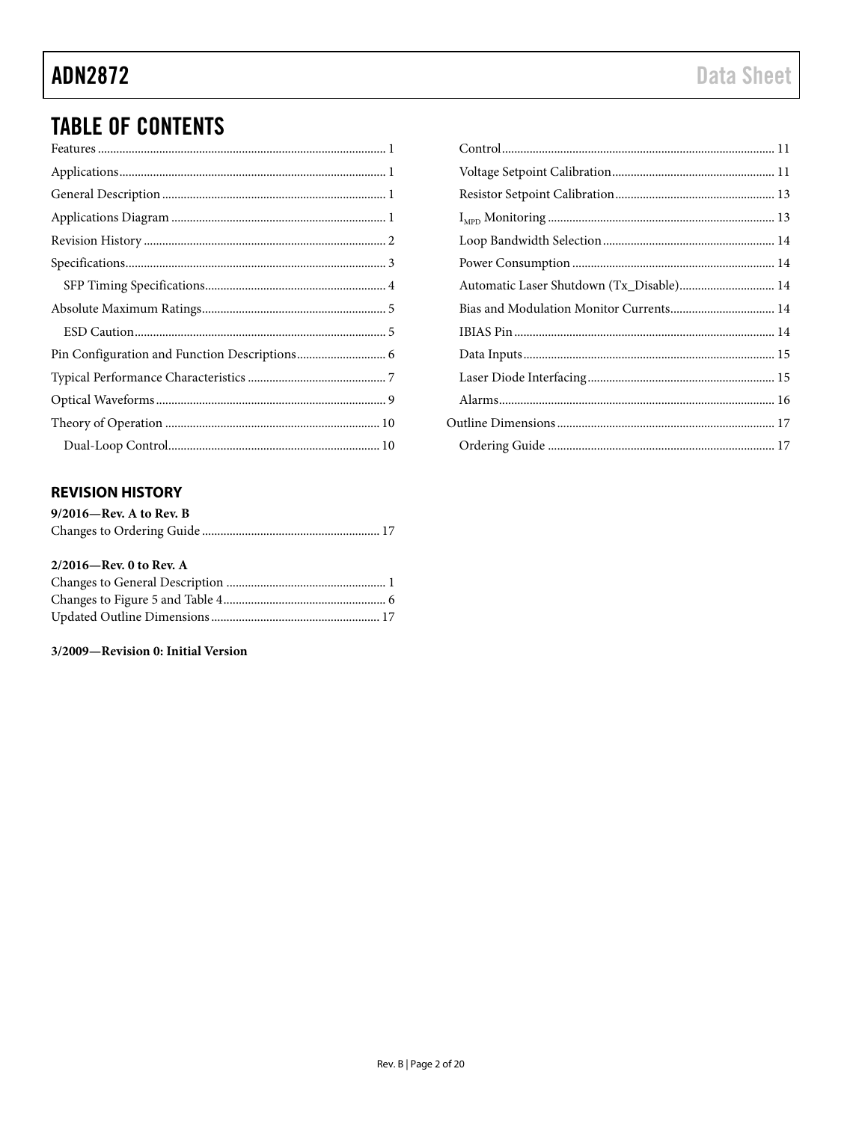## **TABLE OF CONTENTS**

### <span id="page-1-0"></span>**REVISION HISTORY**

| $9/2016$ —Rev. A to Rev. B |  |
|----------------------------|--|
|                            |  |

#### 2/2016-Rev. 0 to Rev. A

#### 3/2009-Revision 0: Initial Version

| Automatic Laser Shutdown (Tx_Disable) 14 |  |
|------------------------------------------|--|
|                                          |  |
|                                          |  |
|                                          |  |
|                                          |  |
|                                          |  |
|                                          |  |
|                                          |  |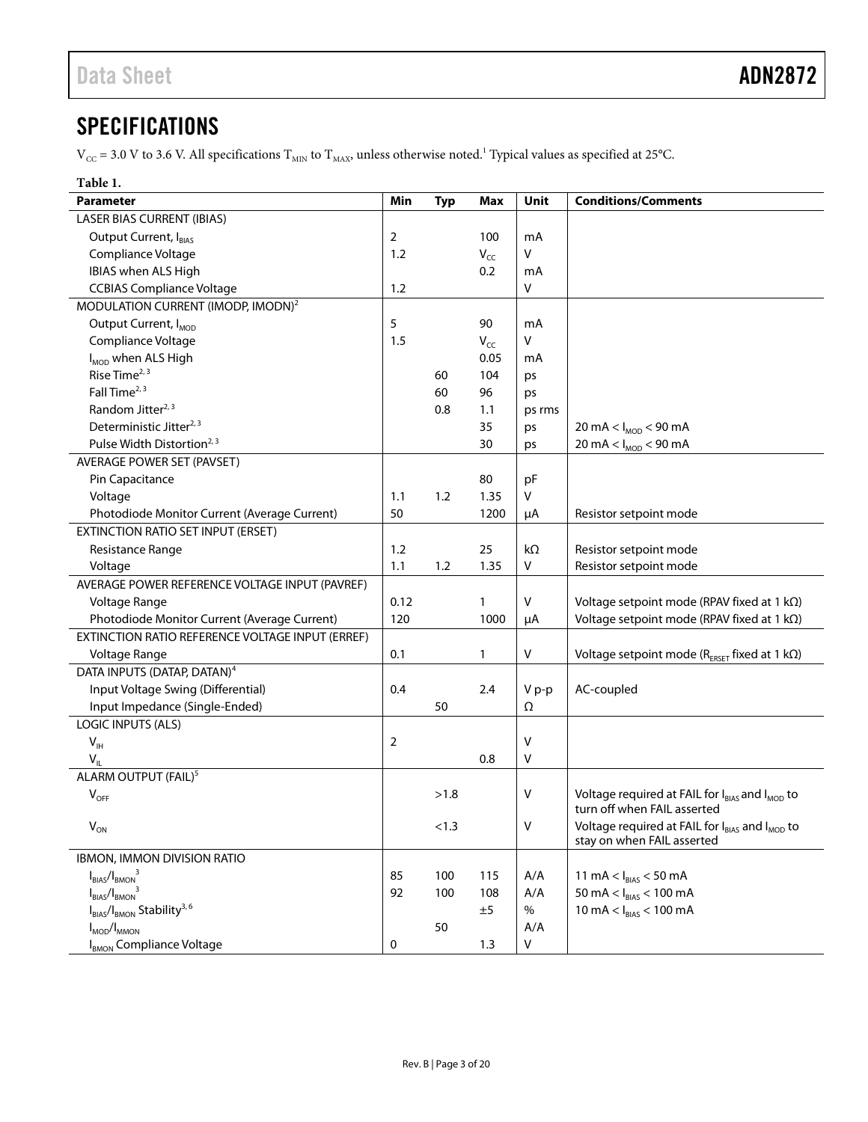## <span id="page-2-0"></span>**SPECIFICATIONS**

 $V_{\text{CC}}$  = 3.0 V to 3.6 V. All specifications  $T_{\text{MIN}}$  to  $T_{\text{MAX}}$ , unless otherwise noted.<sup>1</sup> Typical values as specified at 25°C.

### <span id="page-2-3"></span>**Table 1.**

<span id="page-2-2"></span><span id="page-2-1"></span>

| Parameter                                        | Min  | <b>Typ</b> | <b>Max</b> | Unit   | <b>Conditions/Comments</b>                                                                |
|--------------------------------------------------|------|------------|------------|--------|-------------------------------------------------------------------------------------------|
| <b>LASER BIAS CURRENT (IBIAS)</b>                |      |            |            |        |                                                                                           |
| Output Current, IBIAS                            | 2    |            | 100        | mA     |                                                                                           |
| Compliance Voltage                               | 1.2  |            | $V_{CC}$   | V      |                                                                                           |
| IBIAS when ALS High                              |      |            | 0.2        | mA     |                                                                                           |
| <b>CCBIAS Compliance Voltage</b>                 | 1.2  |            |            | v      |                                                                                           |
| MODULATION CURRENT (IMODP, IMODN) <sup>2</sup>   |      |            |            |        |                                                                                           |
| Output Current, I <sub>MOD</sub>                 | 5    |            | 90         | mA     |                                                                                           |
| Compliance Voltage                               | 1.5  |            | $V_{CC}$   | V      |                                                                                           |
| I <sub>MOD</sub> when ALS High                   |      |            | 0.05       | mA     |                                                                                           |
| Rise Time <sup>2, 3</sup>                        |      | 60         | 104        | ps     |                                                                                           |
| Fall Time <sup>2, 3</sup>                        |      | 60         | 96         | ps     |                                                                                           |
| Random Jitter <sup>2, 3</sup>                    |      | 0.8        | 1.1        | ps rms |                                                                                           |
| Deterministic Jitter <sup>2, 3</sup>             |      |            | 35         | ps     | 20 mA < $I_{MOD}$ < 90 mA                                                                 |
| Pulse Width Distortion <sup>2, 3</sup>           |      |            | 30         | ps     | 20 mA < $I_{MOD}$ < 90 mA                                                                 |
| <b>AVERAGE POWER SET (PAVSET)</b>                |      |            |            |        |                                                                                           |
| Pin Capacitance                                  |      |            | 80         | pF     |                                                                                           |
| Voltage                                          | 1.1  | 1.2        | 1.35       | $\vee$ |                                                                                           |
| Photodiode Monitor Current (Average Current)     | 50   |            | 1200       | μA     | Resistor setpoint mode                                                                    |
| EXTINCTION RATIO SET INPUT (ERSET)               |      |            |            |        |                                                                                           |
| Resistance Range                                 | 1.2  |            | 25         | kΩ     | Resistor setpoint mode                                                                    |
| Voltage                                          | 1.1  | 1.2        | 1.35       | v      | Resistor setpoint mode                                                                    |
| AVERAGE POWER REFERENCE VOLTAGE INPUT (PAVREF)   |      |            |            |        |                                                                                           |
| Voltage Range                                    | 0.12 |            | 1          | V      | Voltage setpoint mode (RPAV fixed at 1 $k\Omega$ )                                        |
| Photodiode Monitor Current (Average Current)     | 120  |            | 1000       | μA     | Voltage setpoint mode (RPAV fixed at 1 $k\Omega$ )                                        |
| EXTINCTION RATIO REFERENCE VOLTAGE INPUT (ERREF) |      |            |            |        |                                                                                           |
| Voltage Range                                    | 0.1  |            | 1          | v      | Voltage setpoint mode ( $R_{ERSET}$ fixed at 1 k $\Omega$ )                               |
| DATA INPUTS (DATAP, DATAN) <sup>4</sup>          |      |            |            |        |                                                                                           |
| Input Voltage Swing (Differential)               | 0.4  |            | 2.4        | V p-p  | AC-coupled                                                                                |
| Input Impedance (Single-Ended)                   |      | 50         |            | Ω      |                                                                                           |
| <b>LOGIC INPUTS (ALS)</b>                        |      |            |            |        |                                                                                           |
| $V_{\text{IH}}$                                  | 2    |            |            | V      |                                                                                           |
| $V_{\parallel}$                                  |      |            | 0.8        | V      |                                                                                           |
| ALARM OUTPUT (FAIL) <sup>5</sup>                 |      |            |            |        |                                                                                           |
| $V_{OFF}$                                        |      | >1.8       |            | v      | Voltage required at FAIL for IBIAS and I <sub>MOD</sub> to<br>turn off when FAIL asserted |
| $V_{ON}$                                         |      | < 1.3      |            | V      | Voltage required at FAIL for IBIAS and I <sub>MOD</sub> to                                |
|                                                  |      |            |            |        | stay on when FAIL asserted                                                                |
| IBMON, IMMON DIVISION RATIO                      |      |            |            |        |                                                                                           |
| $I_{BIAS}/I_{BMON}$ <sup>3</sup>                 | 85   | 100        | 115        | A/A    | 11 mA < $I_{BIAS}$ < 50 mA                                                                |
| $I_{BIAS}/I_{BMON}$                              | 92   | 100        | 108        | A/A    | 50 mA < $I_{BIAS}$ < 100 mA                                                               |
| $I_{BIAS}/I_{BMON}$ Stability <sup>3,6</sup>     |      |            | ±5         | $\%$   | 10 mA < $I_{BIAS}$ < 100 mA                                                               |
| $I_{MOD}/I_{MMON}$                               |      | 50         |            | A/A    |                                                                                           |
| I <sub>BMON</sub> Compliance Voltage             | 0    |            | 1.3        | V      |                                                                                           |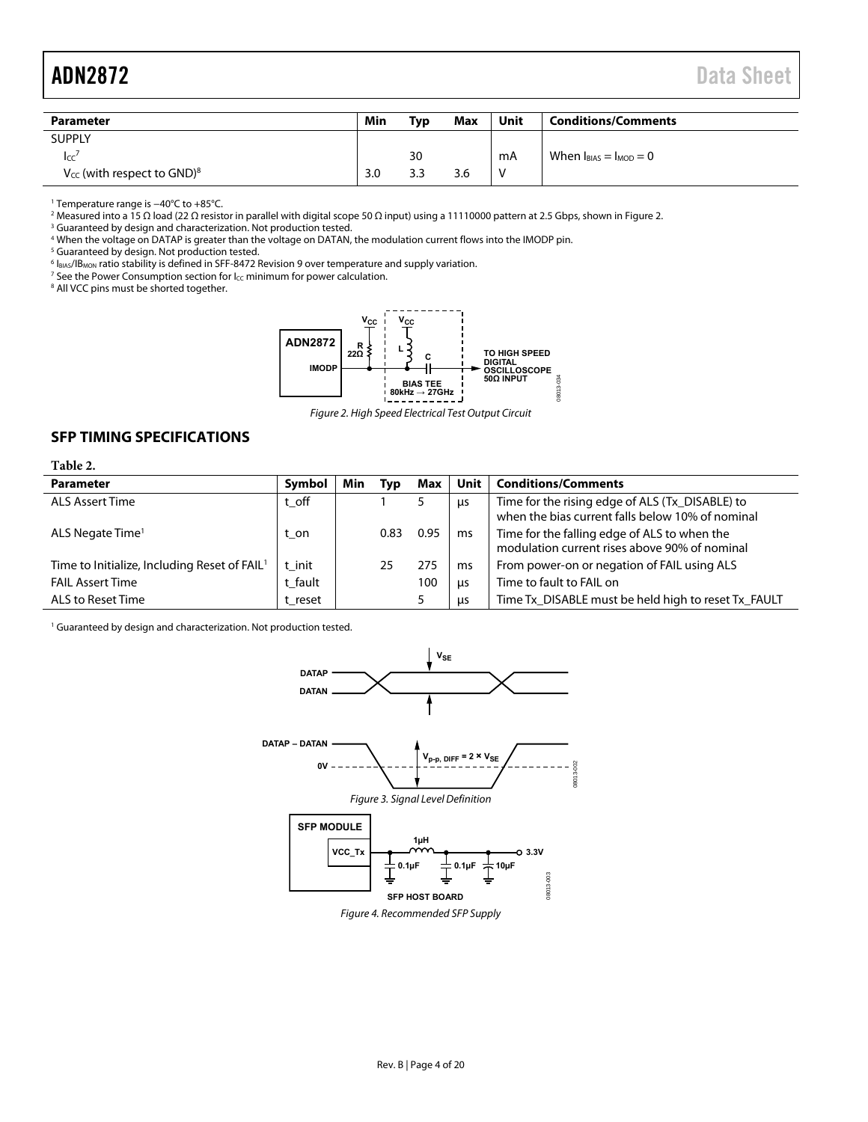<span id="page-3-1"></span>

| Parameter                                   | Min | Тур | Max | Unit | <b>Conditions/Comments</b>                  |
|---------------------------------------------|-----|-----|-----|------|---------------------------------------------|
| <b>SUPPLY</b>                               |     |     |     |      |                                             |
| $ _{CC} $                                   |     | 30  |     | mA   | When $I_{\text{BIAS}} = I_{\text{MOD}} = 0$ |
| $V_{CC}$ (with respect to GND) <sup>8</sup> | 3.0 | 3.3 | 3.6 | v    |                                             |

1 Temperature range is −40°C to +85°C.

<sup>2</sup> Measured into a 15 Ω load (22 Ω resistor in parallel with digital scope 50 Ω input) using a 11110000 pattern at 2.5 Gbps, shown in Figure 2.<br><sup>3</sup> Guaranteed by design and characterization. Not production tested

<sup>3</sup> Guaranteed by design and characterization. Not production tested.

<sup>4</sup> When the voltage on DATAP is greater than the voltage on DATAN, the modulation current flows into the IMODP pin.<br><sup>5</sup> Guaranteed by design. Not production tested

<sup>5</sup> Guaranteed by design. Not production tested.

<sup>6</sup> I<sub>BIAS</sub>/IB<sub>MON</sub> ratio stability is defined in SFF-8472 Revision 9 over temperature and supply variation.<br><sup>7</sup> See the Power Consumption section for Le minimum for power calculation.

<sup>7</sup> See th[e Power Consumption s](#page-13-1)ection for  $I_{CC}$  minimum for power calculation.

<sup>8</sup> All VCC pins must be shorted together.



Figure 2. High Speed Electrical Test Output Circuit

#### <span id="page-3-2"></span><span id="page-3-0"></span>**SFP TIMING SPECIFICATIONS**

| Table 2.                                                 |         |     |      |      |      |                                                                                                     |
|----------------------------------------------------------|---------|-----|------|------|------|-----------------------------------------------------------------------------------------------------|
| <b>Parameter</b>                                         | Symbol  | Min | Typ  | Max  | Unit | <b>Conditions/Comments</b>                                                                          |
| ALS Assert Time                                          | t off   |     |      |      | us   | Time for the rising edge of ALS (Tx DISABLE) to<br>when the bias current falls below 10% of nominal |
| ALS Negate Time <sup>1</sup>                             | t on    |     | 0.83 | 0.95 | ms   | Time for the falling edge of ALS to when the<br>modulation current rises above 90% of nominal       |
| Time to Initialize, Including Reset of FAIL <sup>1</sup> | t init  |     | 25   | 275  | ms   | From power-on or negation of FAIL using ALS                                                         |
| <b>FAIL Assert Time</b>                                  | t fault |     |      | 100  | us   | Time to fault to FAIL on                                                                            |
| ALS to Reset Time                                        | t reset |     |      |      | us   | Time Tx_DISABLE must be held high to reset Tx_FAULT                                                 |

<sup>1</sup> Guaranteed by design and characterization. Not production tested.



Figure 4. Recommended SFP Supply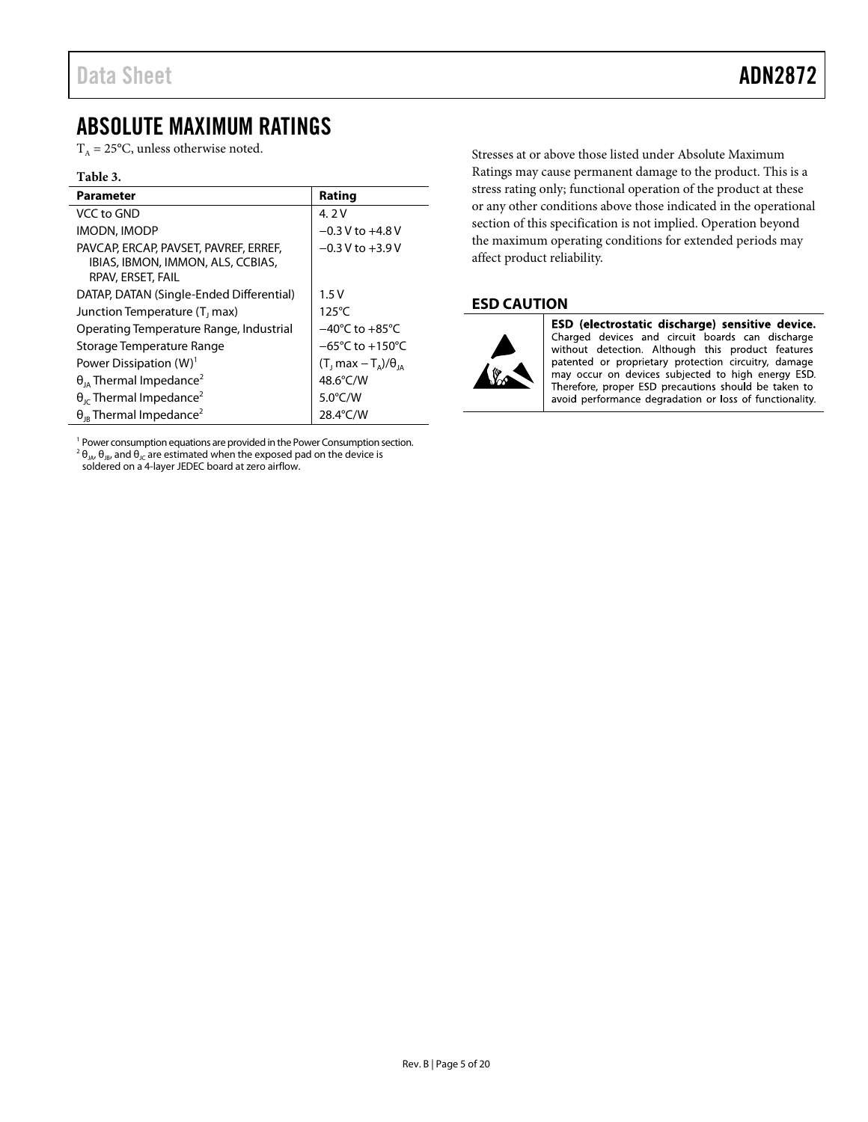## <span id="page-4-0"></span>ABSOLUTE MAXIMUM RATINGS

 $T_A = 25$ °C, unless otherwise noted.

#### **Table 3.**

| Parameter                                                                                       | Rating                               |
|-------------------------------------------------------------------------------------------------|--------------------------------------|
| VCC to GND                                                                                      | 4.2V                                 |
| IMODN, IMODP                                                                                    | $-0.3$ V to $+4.8$ V                 |
| PAVCAP, ERCAP, PAVSET, PAVREF, ERREF,<br>IBIAS, IBMON, IMMON, ALS, CCBIAS,<br>RPAV, ERSET, FAIL | $-0.3$ V to $+3.9$ V                 |
| DATAP, DATAN (Single-Ended Differential)                                                        | 1.5V                                 |
| Junction Temperature (T, max)                                                                   | $125^{\circ}$ C                      |
| Operating Temperature Range, Industrial                                                         | $-40^{\circ}$ C to $+85^{\circ}$ C   |
| Storage Temperature Range                                                                       | $-65^{\circ}$ C to $+150^{\circ}$ C  |
| Power Dissipation $(W)^1$                                                                       | $(T_1 \text{max} - T_4)/\theta_{14}$ |
| $\theta_{IA}$ Thermal Impedance <sup>2</sup>                                                    | 48.6°C/W                             |
| $\theta_{\rm lc}$ Thermal Impedance <sup>2</sup>                                                | $5.0^{\circ}$ C/W                    |
| $\theta_{\text{IR}}$ Thermal Impedance <sup>2</sup>                                             | 28.4°C/W                             |

 $1$  Power consumption equations are provided in th[e Power Consumption](#page-13-1) section. <sup>2</sup>  $\theta_{JA}$ ,  $\theta_{JB}$ , and  $\theta_{JC}$  are estimated when the exposed pad on the device is

soldered on a 4-layer JEDEC board at zero airflow.

Stresses at or above those listed under Absolute Maximum Ratings may cause permanent damage to the product. This is a stress rating only; functional operation of the product at these or any other conditions above those indicated in the operational section of this specification is not implied. Operation beyond the maximum operating conditions for extended periods may affect product reliability.

### <span id="page-4-1"></span>**ESD CAUTION**



ESD (electrostatic discharge) sensitive device. Charged devices and circuit boards can discharge without detection. Although this product features patented or proprietary protection circuitry, damage may occur on devices subjected to high energy ESD. Therefore, proper ESD precautions should be taken to avoid performance degradation or loss of functionality.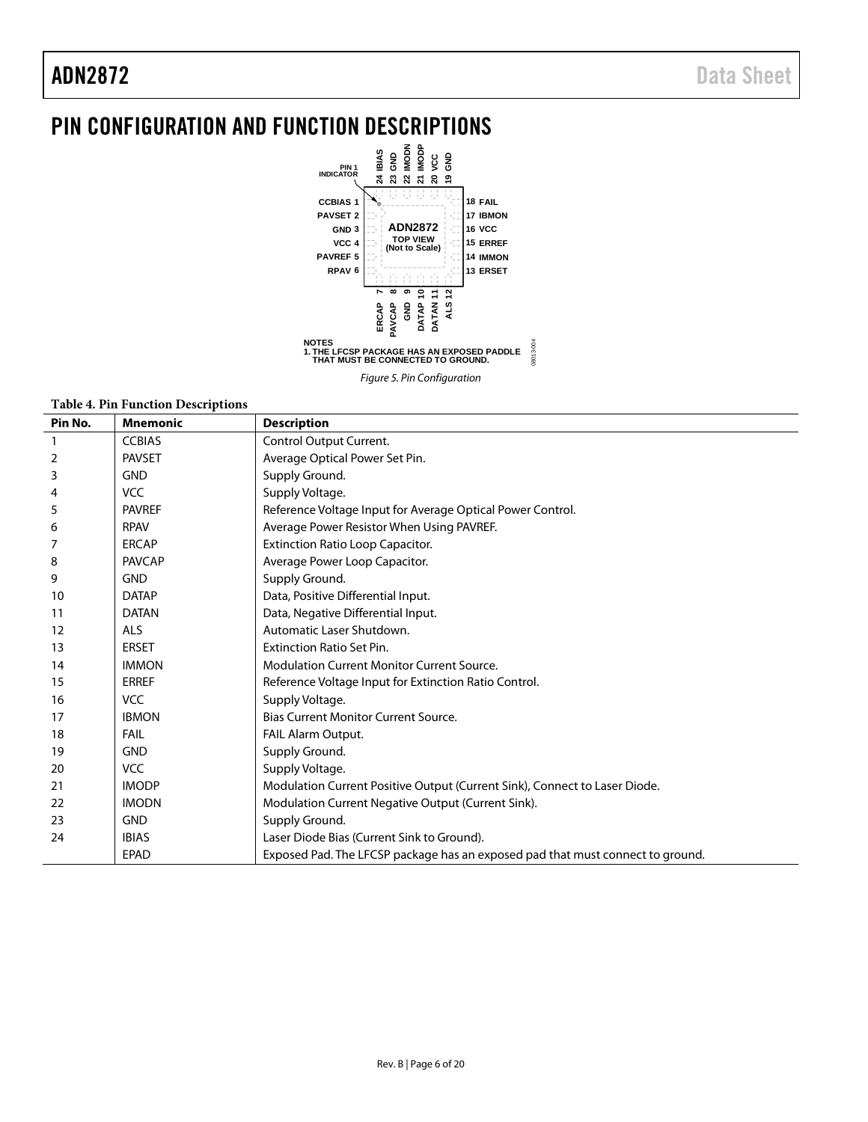## <span id="page-5-0"></span>PIN CONFIGURATION AND FUNCTION DESCRIPTIONS



*Figure 5. Pin Configuration*

#### **Table 4. Pin Function Descriptions**

| Pin No.           | <b>Mnemonic</b> | <b>Description</b>                                                             |
|-------------------|-----------------|--------------------------------------------------------------------------------|
|                   | <b>CCBIAS</b>   | Control Output Current.                                                        |
| 2                 | <b>PAVSET</b>   | Average Optical Power Set Pin.                                                 |
| 3                 | <b>GND</b>      | Supply Ground.                                                                 |
| 4                 | <b>VCC</b>      | Supply Voltage.                                                                |
| 5                 | <b>PAVREF</b>   | Reference Voltage Input for Average Optical Power Control.                     |
| 6                 | <b>RPAV</b>     | Average Power Resistor When Using PAVREF.                                      |
| 7                 | <b>ERCAP</b>    | <b>Extinction Ratio Loop Capacitor.</b>                                        |
| 8                 | <b>PAVCAP</b>   | Average Power Loop Capacitor.                                                  |
| 9                 | <b>GND</b>      | Supply Ground.                                                                 |
| 10                | <b>DATAP</b>    | Data, Positive Differential Input.                                             |
| 11                | <b>DATAN</b>    | Data, Negative Differential Input.                                             |
| $12 \overline{ }$ | <b>ALS</b>      | Automatic Laser Shutdown.                                                      |
| 13                | <b>ERSET</b>    | <b>Extinction Ratio Set Pin.</b>                                               |
| 14                | <b>IMMON</b>    | <b>Modulation Current Monitor Current Source.</b>                              |
| 15                | <b>ERREF</b>    | Reference Voltage Input for Extinction Ratio Control.                          |
| 16                | <b>VCC</b>      | Supply Voltage.                                                                |
| 17                | <b>IBMON</b>    | <b>Bias Current Monitor Current Source.</b>                                    |
| 18                | <b>FAIL</b>     | <b>FAIL Alarm Output.</b>                                                      |
| 19                | <b>GND</b>      | Supply Ground.                                                                 |
| 20                | <b>VCC</b>      | Supply Voltage.                                                                |
| 21                | <b>IMODP</b>    | Modulation Current Positive Output (Current Sink), Connect to Laser Diode.     |
| 22                | <b>IMODN</b>    | Modulation Current Negative Output (Current Sink).                             |
| 23                | <b>GND</b>      | Supply Ground.                                                                 |
| 24                | <b>IBIAS</b>    | Laser Diode Bias (Current Sink to Ground).                                     |
|                   | <b>EPAD</b>     | Exposed Pad. The LFCSP package has an exposed pad that must connect to ground. |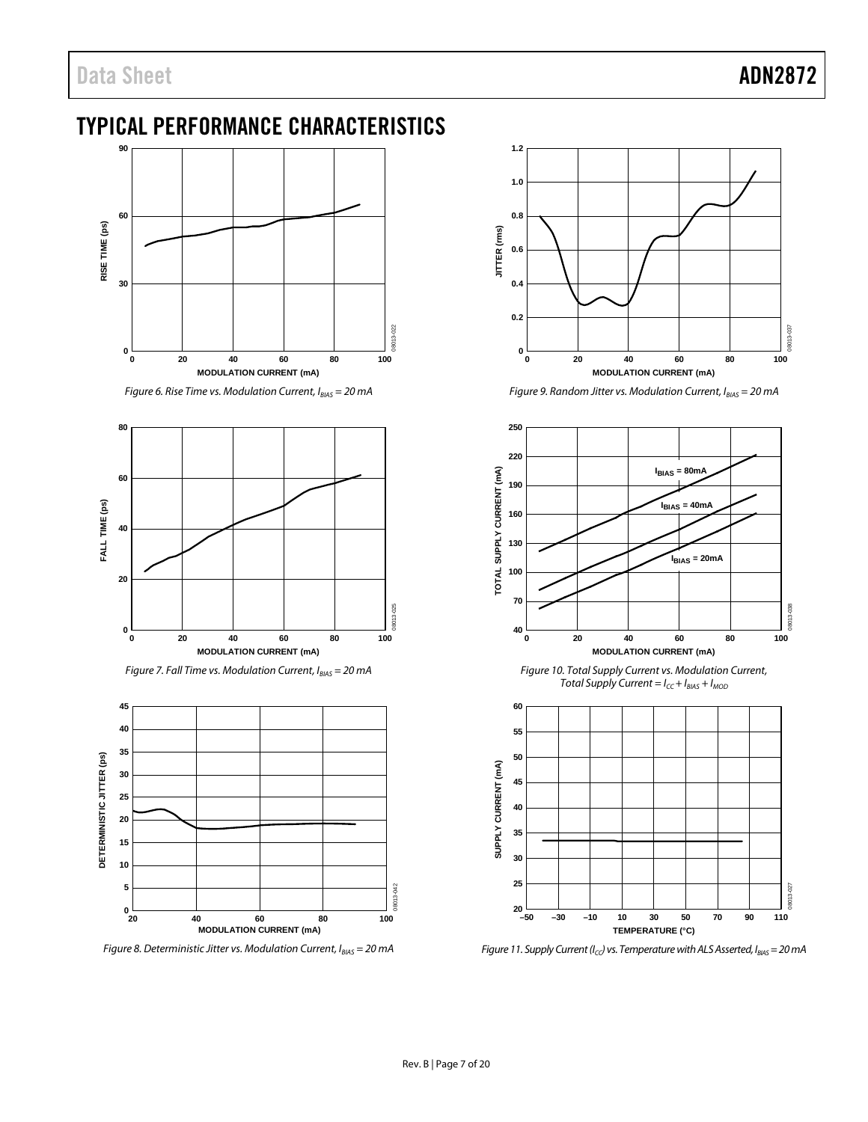## <span id="page-6-0"></span>TYPICAL PERFORMANCE CHARACTERISTICS



*Figure 6. Rise Time vs. Modulation Current, I<sub>BIAS</sub>* = 20 mA



*Figure 7. Fall Time vs. Modulation Current, I<sub>BIAS</sub>* = 20 mA



*Figure 8. Deterministic Jitter vs. Modulation Current, I<sub>BIAS</sub>* = 20 mA



*Figure 9. Random Jitter vs. Modulation Current, I<sub>BIAS</sub>* = 20 mA



*Figure 10. Total Supply Current vs. Modulation Current, Total Supply Current =*  $I_{CC} + I_{BIAS} + I_{MOD}$ 



*Figure 11. Supply Current (I<sub>CC</sub>) vs. Temperature with ALS Asserted, I<sub>BIAS</sub> = 20 mA*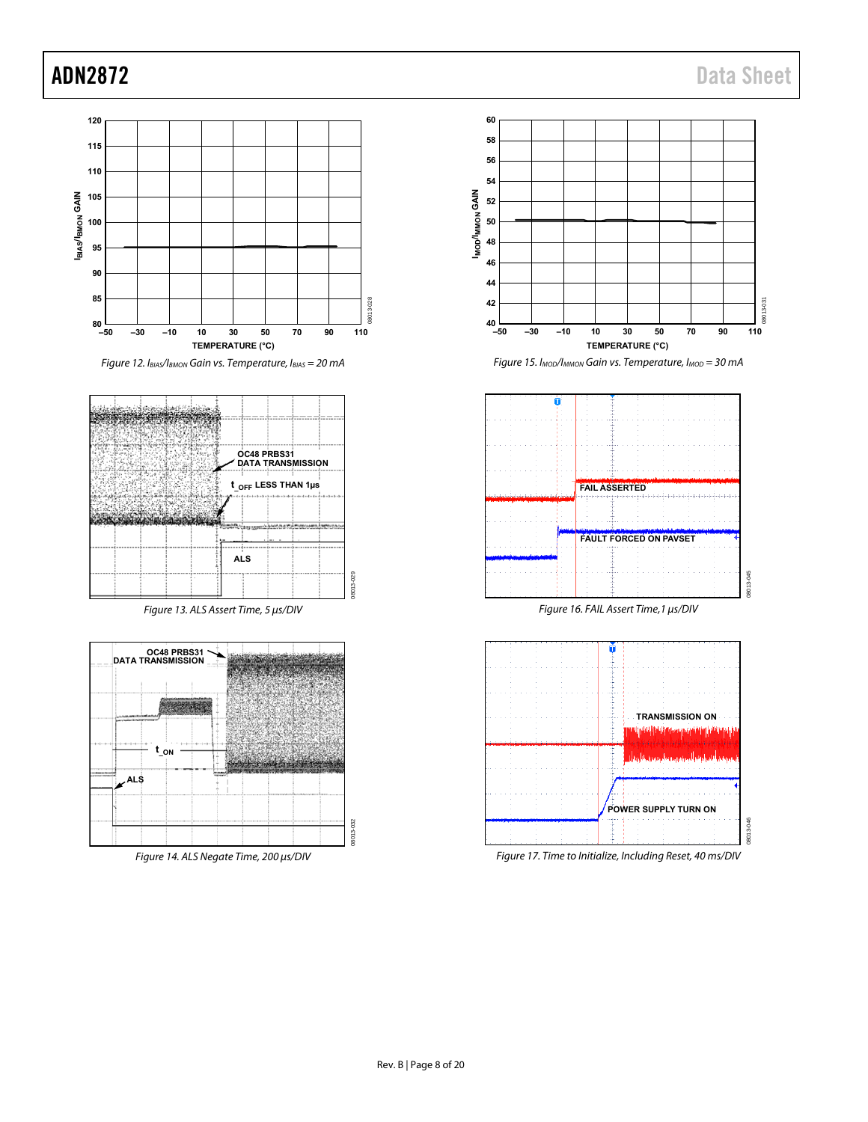08013-031

 $08013$ 

 $31 - 0.31$ 

08013-045

38013-045

08013-046





Figure 17. Time to Initialize, Including Reset, 40 ms/DIV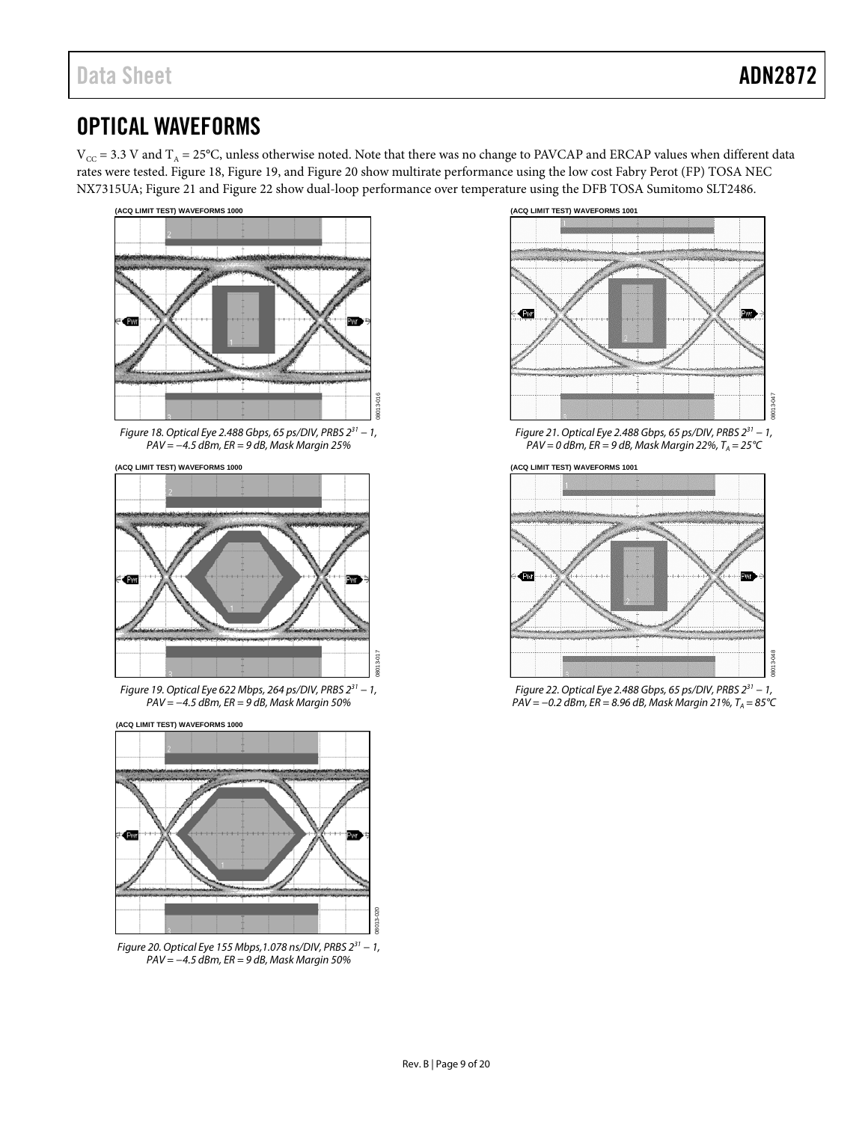## <span id="page-8-0"></span>OPTICAL WAVEFORMS

 $V_{CC}$  = 3.3 V and T<sub>A</sub> = 25°C, unless otherwise noted. Note that there was no change to PAVCAP and ERCAP values when different data rates were tested[. Figure 18,](#page-8-1) [Figure 19,](#page-8-2) and [Figure 20](#page-8-3) show multirate performance using the low cost Fabry Perot (FP) TOSA NEC NX7315UA[; Figure 21](#page-8-4) and [Figure 22](#page-8-5) show dual-loop performance over temperature using the DFB TOSA Sumitomo SLT2486.



<span id="page-8-1"></span>

<span id="page-8-2"></span>*Figure 19. Optical Eye 622 Mbps, 264 ps/DIV, PRBS 231 − 1, PAV = −4.5 dBm, ER = 9 dB, Mask Margin 50%*



<span id="page-8-3"></span>*Figure 20. Optical Eye 155 Mbps,1.078 ns/DIV, PRBS 231 − 1, PAV = −4.5 dBm, ER = 9 dB, Mask Margin 50%*





<span id="page-8-4"></span>*Figure 21. Optical Eye 2.488 Gbps, 65 ps/DIV, PRBS 231 − 1,*  $PAV = 0$  dBm,  $ER = 9$  dB, Mask Margin 22%,  $T_A = 25^{\circ}C$ 

**(ACQ LIMIT TEST) WAVEFORMS 1001**



<span id="page-8-5"></span>*Figure 22. Optical Eye 2.488 Gbps, 65 ps/DIV, PRBS 231 − 1, PAV = −0.2 dBm, ER = 8.96 dB, Mask Margin 21%, T<sub>A</sub> = 85°C* 

08013-020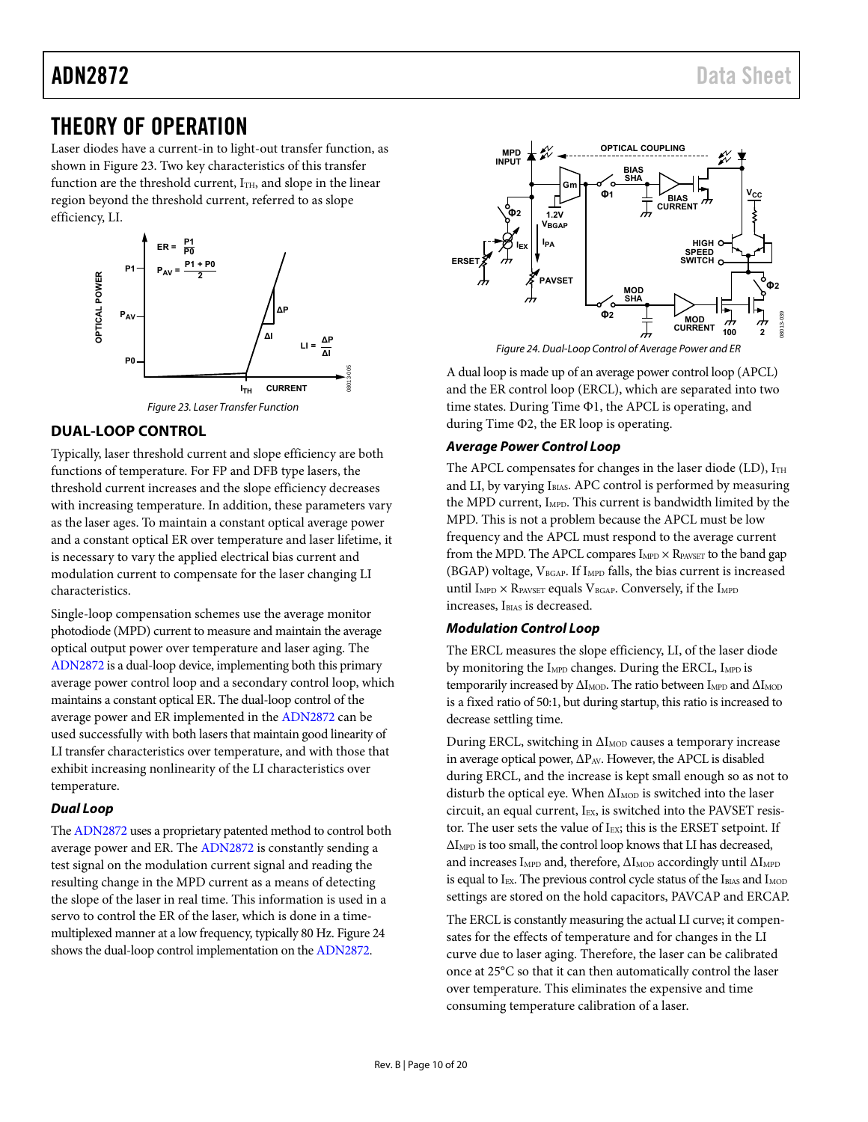## <span id="page-9-0"></span>THEORY OF OPERATION

Laser diodes have a current-in to light-out transfer function, as shown in [Figure 23.](#page-9-2) Two key characteristics of this transfer function are the threshold current,  $I<sub>TH</sub>$ , and slope in the linear region beyond the threshold current, referred to as slope efficiency, LI.



### <span id="page-9-2"></span><span id="page-9-1"></span>**DUAL-LOOP CONTROL**

Typically, laser threshold current and slope efficiency are both functions of temperature. For FP and DFB type lasers, the threshold current increases and the slope efficiency decreases with increasing temperature. In addition, these parameters vary as the laser ages. To maintain a constant optical average power and a constant optical ER over temperature and laser lifetime, it is necessary to vary the applied electrical bias current and modulation current to compensate for the laser changing LI characteristics.

Single-loop compensation schemes use the average monitor photodiode (MPD) current to measure and maintain the average optical output power over temperature and laser aging. The [ADN2872 i](http://www.analog.com/ADN2872?doc=ADN2872.pdf)s a dual-loop device, implementing both this primary average power control loop and a secondary control loop, which maintains a constant optical ER. The dual-loop control of the average power and ER implemented in the [ADN2872](http://www.analog.com/ADN2872?doc=ADN2872.pdf) can be used successfully with both lasers that maintain good linearity of LI transfer characteristics over temperature, and with those that exhibit increasing nonlinearity of the LI characteristics over temperature.

#### **Dual Loop**

Th[e ADN2872 u](http://www.analog.com/ADN2872?doc=ADN2872.pdf)ses a proprietary patented method to control both average power and ER. Th[e ADN2872](http://www.analog.com/ADN2872?doc=ADN2872.pdf) is constantly sending a test signal on the modulation current signal and reading the resulting change in the MPD current as a means of detecting the slope of the laser in real time. This information is used in a servo to control the ER of the laser, which is done in a timemultiplexed manner at a low frequency, typically 80 Hz[. Figure 24](#page-9-3)  shows the dual-loop control implementation on th[e ADN2872.](http://www.analog.com/ADN2872?doc=ADN2872.pdf) 



Figure 24. Dual-Loop Control of Average Power and ER

<span id="page-9-3"></span>A dual loop is made up of an average power control loop (APCL) and the ER control loop (ERCL), which are separated into two time states. During Time Φ1, the APCL is operating, and during Time Φ2, the ER loop is operating.

#### **Average Power Control Loop**

The APCL compensates for changes in the laser diode (LD), ITH and LI, by varying I<sub>BIAS</sub>. APC control is performed by measuring the MPD current, I<sub>MPD</sub>. This current is bandwidth limited by the MPD. This is not a problem because the APCL must be low frequency and the APCL must respond to the average current from the MPD. The APCL compares  $I_{\text{MPD}} \times R_{\text{PAVSET}}$  to the band gap (BGAP) voltage,  $V_{BGAP}$ . If  $I_{MPD}$  falls, the bias current is increased until  $I_{MPD} \times R_{PAVSET}$  equals  $V_{BGAP}$ . Conversely, if the  $I_{MPD}$ increases, I<sub>BIAS</sub> is decreased.

#### **Modulation Control Loop**

The ERCL measures the slope efficiency, LI, of the laser diode by monitoring the I<sub>MPD</sub> changes. During the ERCL, I<sub>MPD</sub> is temporarily increased by  $\Delta I_{\text{MOD}}$ . The ratio between  $I_{\text{MPD}}$  and  $\Delta I_{\text{MOD}}$ is a fixed ratio of 50:1, but during startup, this ratio is increased to decrease settling time.

During ERCL, switching in  $\Delta I_{\text{MOD}}$  causes a temporary increase in average optical power,  $\Delta P_{AV}$ . However, the APCL is disabled during ERCL, and the increase is kept small enough so as not to disturb the optical eye. When  $\Delta I_{\text{MOD}}$  is switched into the laser circuit, an equal current, IEX, is switched into the PAVSET resistor. The user sets the value of  $I_{EX}$ ; this is the ERSET setpoint. If ΔIMPD is too small, the control loop knows that LI has decreased, and increases I<sub>MPD</sub> and, therefore,  $\Delta I$ <sub>MOD</sub> accordingly until  $\Delta I$ <sub>MPD</sub> is equal to I<sub>EX</sub>. The previous control cycle status of the IBIAS and I<sub>MOD</sub> settings are stored on the hold capacitors, PAVCAP and ERCAP.

The ERCL is constantly measuring the actual LI curve; it compensates for the effects of temperature and for changes in the LI curve due to laser aging. Therefore, the laser can be calibrated once at 25°C so that it can then automatically control the laser over temperature. This eliminates the expensive and time consuming temperature calibration of a laser.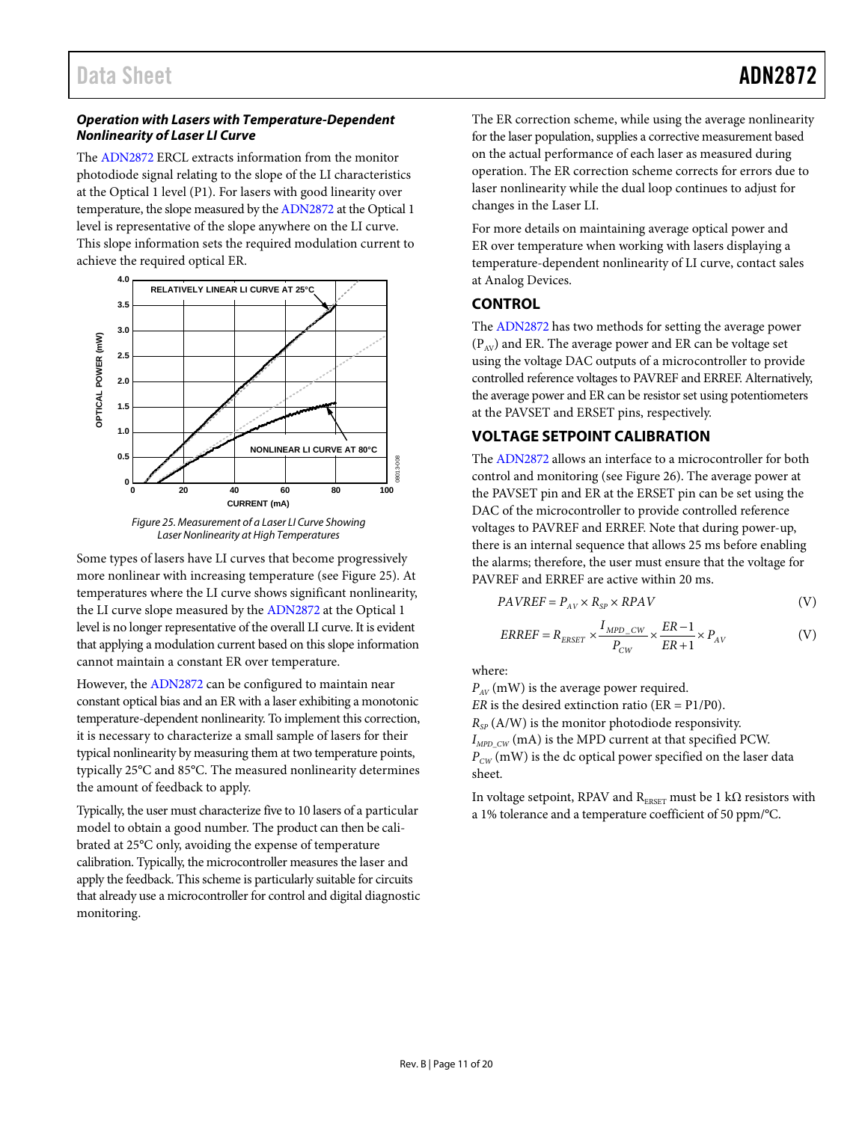#### *Operation with Lasers with Temperature-Dependent Nonlinearity of Laser LI Curve*

The [ADN2872](http://www.analog.com/ADN2872?doc=ADN2872.pdf) ERCL extracts information from the monitor photodiode signal relating to the slope of the LI characteristics at the Optical 1 level (P1). For lasers with good linearity over temperature, the slope measured by th[e ADN2872](http://www.analog.com/ADN2872?doc=ADN2872.pdf) at the Optical 1 level is representative of the slope anywhere on the LI curve. This slope information sets the required modulation current to achieve the required optical ER.



*Figure 25. Measurement of a Laser LI Curve Showing Laser Nonlinearity at High Temperatures*

<span id="page-10-2"></span>Some types of lasers have LI curves that become progressively more nonlinear with increasing temperature (see [Figure 25\)](#page-10-2). At temperatures where the LI curve shows significant nonlinearity, the LI curve slope measured by th[e ADN2872](http://www.analog.com/ADN2872?doc=ADN2872.pdf) at the Optical 1 level is no longer representative of the overall LI curve. It is evident that applying a modulation current based on this slope information cannot maintain a constant ER over temperature.

However, the [ADN2872](http://www.analog.com/ADN2872?doc=ADN2872.pdf) can be configured to maintain near constant optical bias and an ER with a laser exhibiting a monotonic temperature-dependent nonlinearity. To implement this correction, it is necessary to characterize a small sample of lasers for their typical nonlinearity by measuring them at two temperature points, typically 25°C and 85°C. The measured nonlinearity determines the amount of feedback to apply.

Typically, the user must characterize five to 10 lasers of a particular model to obtain a good number. The product can then be calibrated at 25°C only, avoiding the expense of temperature calibration. Typically, the microcontroller measures the laser and apply the feedback. This scheme is particularly suitable for circuits that already use a microcontroller for control and digital diagnostic monitoring.

The ER correction scheme, while using the average nonlinearity for the laser population, supplies a corrective measurement based on the actual performance of each laser as measured during operation. The ER correction scheme corrects for errors due to laser nonlinearity while the dual loop continues to adjust for changes in the Laser LI.

For more details on maintaining average optical power and ER over temperature when working with lasers displaying a temperature-dependent nonlinearity of LI curve, contact sales at Analog Devices.

### <span id="page-10-0"></span>**CONTROL**

The [ADN2872](http://www.analog.com/ADN2872?doc=ADN2872.pdf) has two methods for setting the average power  $(P_{AV})$  and ER. The average power and ER can be voltage set using the voltage DAC outputs of a microcontroller to provide controlled reference voltages to PAVREF and ERREF. Alternatively, the average power and ER can be resistor set using potentiometers at the PAVSET and ERSET pins, respectively.

### <span id="page-10-1"></span>**VOLTAGE SETPOINT CALIBRATION**

The [ADN2872](http://www.analog.com/ADN2872?doc=ADN2872.pdf) allows an interface to a microcontroller for both control and monitoring (se[e Figure 26\)](#page-11-0). The average power at the PAVSET pin and ER at the ERSET pin can be set using the DAC of the microcontroller to provide controlled reference voltages to PAVREF and ERREF. Note that during power-up, there is an internal sequence that allows 25 ms before enabling the alarms; therefore, the user must ensure that the voltage for PAVREF and ERREF are active within 20 ms.

$$
PAVREF = P_{AV} \times R_{SP} \times RPAV
$$
 (V)

$$
ERREF = R_{ERSET} \times \frac{I_{MPD\_CW}}{P_{CW}} \times \frac{ER-1}{ER+1} \times P_{AV}
$$
 (V)

where:

*PAV* (mW) is the average power required. *ER* is the desired extinction ratio (ER = P1/P0).  $R_{SP}$  (A/W) is the monitor photodiode responsivity. *I<sub>MPD CW</sub>* (mA) is the MPD current at that specified PCW.  $P_{CW}$  (mW) is the dc optical power specified on the laser data sheet.

In voltage setpoint, RPAV and  $R_{ERSET}$  must be 1 k $\Omega$  resistors with a 1% tolerance and a temperature coefficient of 50 ppm/°C.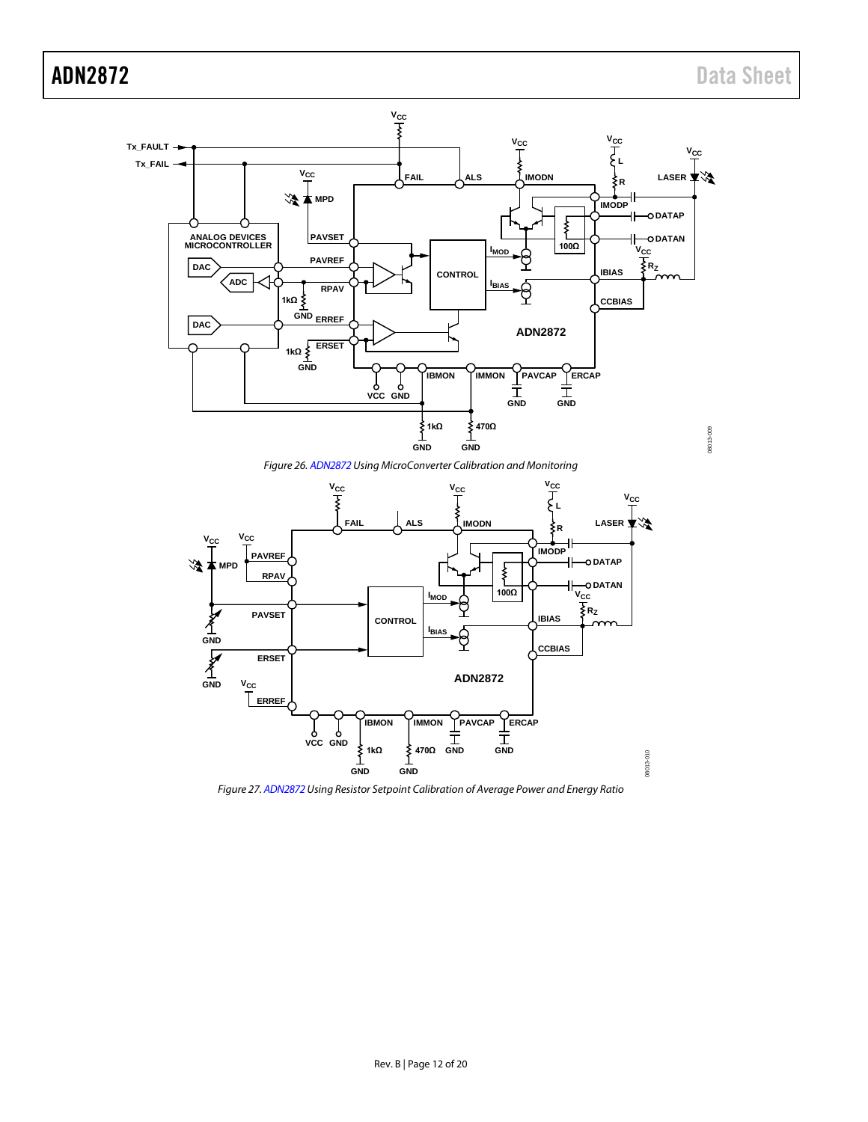



<span id="page-11-0"></span>

<span id="page-11-1"></span>*Figure 27[. ADN2872U](http://www.analog.com/ADN2872?doc=ADN2872.pdf)sing Resistor Setpoint Calibration of Average Power and Energy Ratio*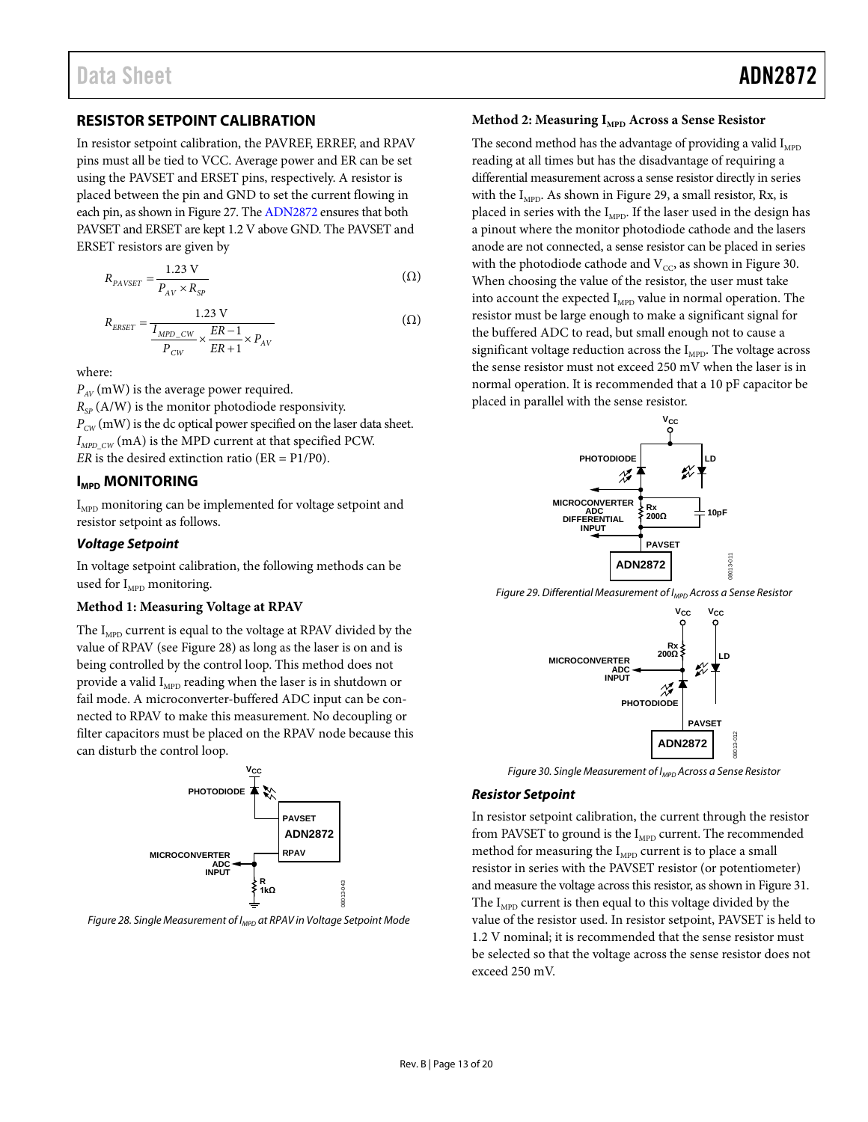#### <span id="page-12-0"></span>**RESISTOR SETPOINT CALIBRATION**

In resistor setpoint calibration, the PAVREF, ERREF, and RPAV pins must all be tied to VCC. Average power and ER can be set using the PAVSET and ERSET pins, respectively. A resistor is placed between the pin and GND to set the current flowing in each pin, as shown i[n Figure 27.](#page-11-1) Th[e ADN2872](http://www.analog.com/ADN2872?doc=ADN2872.pdf) ensures that both PAVSET and ERSET are kept 1.2 V above GND. The PAVSET and ERSET resistors are given by

$$
R_{PAVSET} = \frac{1.23 \text{ V}}{P_{AV} \times R_{SP}} \tag{ \Omega}
$$

$$
R_{ERSET} = \frac{1.23 \text{ V}}{I_{MPD\_CW}} \times \frac{ER - 1}{ER + 1} \times P_{AV}
$$
 (Ω)

where:

*PAV* (mW) is the average power required.  $R_{SP}$  (A/W) is the monitor photodiode responsivity.  $P_{CW}$  (mW) is the dc optical power specified on the laser data sheet. *I<sub>MPD CW</sub>* (mA) is the MPD current at that specified PCW. *ER* is the desired extinction ratio ( $ER = P1/P0$ ).

#### <span id="page-12-1"></span>**I<sub>MPD</sub> MONITORING**

 $I<sub>MPD</sub>$  monitoring can be implemented for voltage setpoint and resistor setpoint as follows.

#### *Voltage Setpoint*

In voltage setpoint calibration, the following methods can be used for I<sub>MPD</sub> monitoring.

#### **Method 1: Measuring Voltage at RPAV**

The  $I<sub>MPD</sub>$  current is equal to the voltage at RPAV divided by the value of RPAV (see [Figure 28\)](#page-12-2) as long as the laser is on and is being controlled by the control loop. This method does not provide a valid  $I<sub>MPD</sub>$  reading when the laser is in shutdown or fail mode. A microconverter-buffered ADC input can be connected to RPAV to make this measurement. No decoupling or filter capacitors must be placed on the RPAV node because this can disturb the control loop.



<span id="page-12-2"></span>*Figure 28. Single Measurement of I<sub>MPD</sub> at RPAV in Voltage Setpoint Mode* 

#### **Method 2: Measuring I<sub>MPD</sub> Across a Sense Resistor**

The second method has the advantage of providing a valid  $I_{MPD}$ reading at all times but has the disadvantage of requiring a differential measurement across a sense resistor directly in series with the  $I<sub>MPD</sub>$ . As shown in [Figure 29,](#page-12-3) a small resistor, Rx, is placed in series with the  $I_{\text{MPD}}$ . If the laser used in the design has a pinout where the monitor photodiode cathode and the lasers anode are not connected, a sense resistor can be placed in series with the photodiode cathode and  $V_{CC}$ , as shown in Figure 30. When choosing the value of the resistor, the user must take into account the expected  $I_{\text{MPD}}$  value in normal operation. The resistor must be large enough to make a significant signal for the buffered ADC to read, but small enough not to cause a significant voltage reduction across the  $I_{\text{MPD}}$ . The voltage across the sense resistor must not exceed 250 mV when the laser is in normal operation. It is recommended that a 10 pF capacitor be placed in parallel with the sense resistor.



<span id="page-12-3"></span>*Figure 29. Differential Measurement of IMPD Across a Sense Resistor*



*Figure 30. Single Measurement of IMPD Across a Sense Resistor*

#### <span id="page-12-4"></span>*Resistor Setpoint*

In resistor setpoint calibration, the current through the resistor from PAVSET to ground is the I<sub>MPD</sub> current. The recommended method for measuring the  $I_{MPD}$  current is to place a small resistor in series with the PAVSET resistor (or potentiometer) and measure the voltage across this resistor, as shown i[n Figure 31.](#page-13-5)  The  $I<sub>MPD</sub>$  current is then equal to this voltage divided by the value of the resistor used. In resistor setpoint, PAVSET is held to 1.2 V nominal; it is recommended that the sense resistor must be selected so that the voltage across the sense resistor does not exceed 250 mV.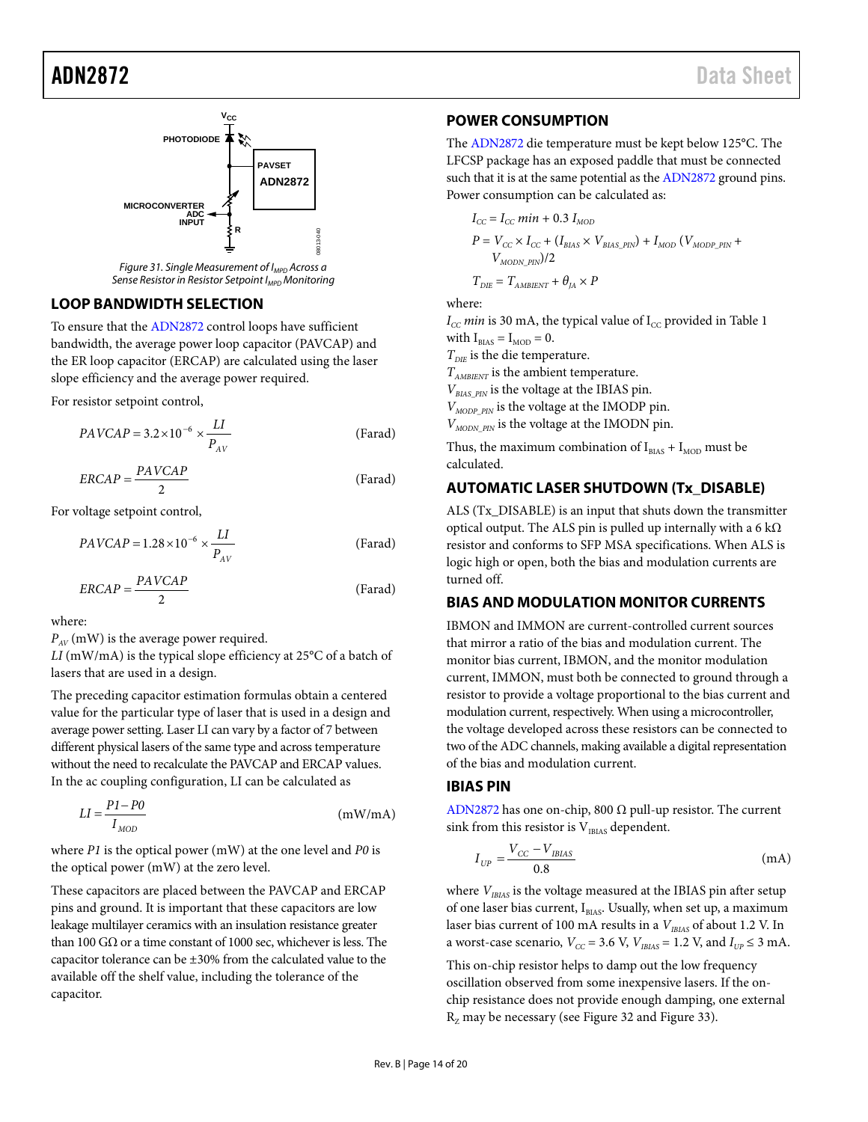

*Figure 31. Single Measurement of I<sub>MPD</sub> Across a* Sense Resistor in Resistor Setpoint I<sub>MPD</sub> Monitoring

#### <span id="page-13-5"></span><span id="page-13-0"></span>**LOOP BANDWIDTH SELECTION**

To ensure that th[e ADN2872](http://www.analog.com/ADN2872?doc=ADN2872.pdf) control loops have sufficient bandwidth, the average power loop capacitor (PAVCAP) and the ER loop capacitor (ERCAP) are calculated using the laser slope efficiency and the average power required.

For resistor setpoint control,

$$
PAVCAP = 3.2 \times 10^{-6} \times \frac{LI}{P_{AV}}
$$
 (Farad)

$$
ERCAP = \frac{PAVCAP}{2}
$$
 (Farad)

For voltage setpoint control,

$$
PAVCAP = 1.28 \times 10^{-6} \times \frac{LI}{P_{AV}}
$$
 (Farad)

$$
ERCAP = \frac{PAVCAP}{2}
$$
 (Farad)

where:

*PAV* (mW) is the average power required.

*LI* (mW/mA) is the typical slope efficiency at 25°C of a batch of lasers that are used in a design.

The preceding capacitor estimation formulas obtain a centered value for the particular type of laser that is used in a design and average power setting. Laser LI can vary by a factor of 7 between different physical lasers of the same type and across temperature without the need to recalculate the PAVCAP and ERCAP values. In the ac coupling configuration, LI can be calculated as

$$
LI = \frac{P1 - P0}{I_{MOD}} \tag{mW/mA}
$$

where *P1* is the optical power (mW) at the one level and *P0* is the optical power (mW) at the zero level.

These capacitors are placed between the PAVCAP and ERCAP pins and ground. It is important that these capacitors are low leakage multilayer ceramics with an insulation resistance greater than 100 GΩ or a time constant of 1000 sec, whichever is less. The capacitor tolerance can be ±30% from the calculated value to the available off the shelf value, including the tolerance of the capacitor.

#### <span id="page-13-1"></span>**POWER CONSUMPTION**

The [ADN2872](http://www.analog.com/ADN2872?doc=ADN2872.pdf) die temperature must be kept below 125°C. The LFCSP package has an exposed paddle that must be connected such that it is at the same potential as th[e ADN2872](http://www.analog.com/ADN2872?doc=ADN2872.pdf) ground pins. Power consumption can be calculated as:

$$
I_{CC} = I_{CC} min + 0.3 I_{MOD}
$$
  
\n
$$
P = V_{CC} \times I_{CC} + (I_{BIAS} \times V_{BIAS_PIN}) + I_{MOD} (V_{MODP_PIN} + V_{MODPIN})/2
$$
  
\n
$$
T_{DIE} = T_{AMBEINT} + \theta_{JA} \times P
$$

where:

 $I_{CC}$  *min* is 30 mA, the typical value of  $I_{CC}$  provided in [Table 1](#page-2-3) with  $I_{BIAS} = I_{MOD} = 0$ .

 $T_{\text{DIE}}$  is the die temperature.

 $T_{AMBERT}$  is the ambient temperature.

 $V_{BIAS-PN}$  is the voltage at the IBIAS pin.

*V<sub>MODP\_PIN</sub>* is the voltage at the IMODP pin.

 $V<sub>MODN-PIN</sub>$  is the voltage at the IMODN pin.

Thus, the maximum combination of  $I_{BIAS} + I_{MOD}$  must be calculated.

#### <span id="page-13-2"></span>**AUTOMATIC LASER SHUTDOWN (Tx\_DISABLE)**

ALS (Tx\_DISABLE) is an input that shuts down the transmitter optical output. The ALS pin is pulled up internally with a 6 k $\Omega$ resistor and conforms to SFP MSA specifications. When ALS is logic high or open, both the bias and modulation currents are turned off.

#### <span id="page-13-3"></span>**BIAS AND MODULATION MONITOR CURRENTS**

IBMON and IMMON are current-controlled current sources that mirror a ratio of the bias and modulation current. The monitor bias current, IBMON, and the monitor modulation current, IMMON, must both be connected to ground through a resistor to provide a voltage proportional to the bias current and modulation current, respectively. When using a microcontroller, the voltage developed across these resistors can be connected to two of the ADC channels, making available a digital representation of the bias and modulation current.

#### <span id="page-13-4"></span>**IBIAS PIN**

[ADN2872](http://www.analog.com/ADN2872?doc=ADN2872.pdf) has one on-chip, 800  $\Omega$  pull-up resistor. The current sink from this resistor is  $V_{IBIAS}$  dependent.

$$
I_{UP} = \frac{V_{CC} - V_{IBIAS}}{0.8}
$$
 (mA)

where  $V_{IBIAS}$  is the voltage measured at the IBIAS pin after setup of one laser bias current,  $I_{BIAS}$ . Usually, when set up, a maximum laser bias current of 100 mA results in a  $V_{\text{IBIAS}}$  of about 1.2 V. In a worst-case scenario,  $V_{CC}$  = 3.6 V,  $V_{IBIAS}$  = 1.2 V, and  $I_{UP} \le 3$  mA.

This on-chip resistor helps to damp out the low frequency oscillation observed from some inexpensive lasers. If the onchip resistance does not provide enough damping, one external  $R<sub>z</sub>$  may be necessary (se[e Figure 32](#page-14-2) an[d Figure 33\)](#page-14-3).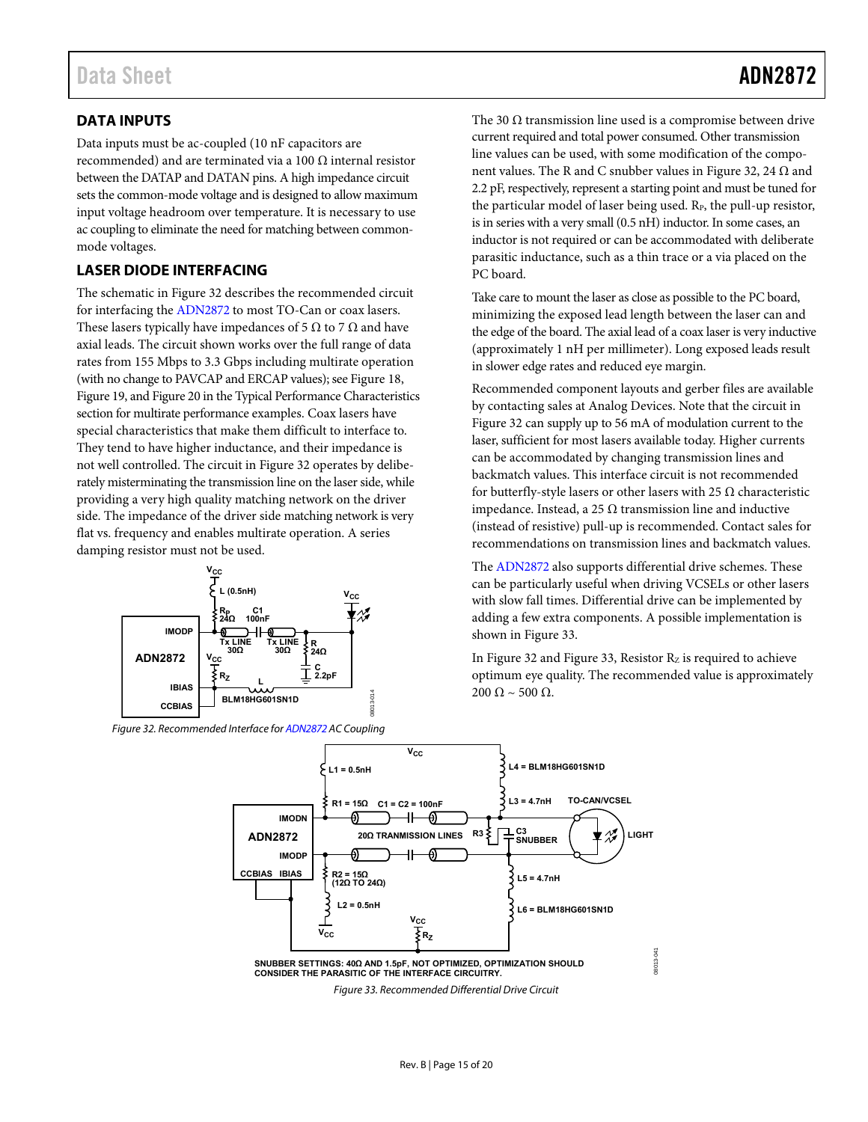### <span id="page-14-0"></span>**DATA INPUTS**

Data inputs must be ac-coupled (10 nF capacitors are recommended) and are terminated via a 100 Ω internal resistor between the DATAP and DATAN pins. A high impedance circuit sets the common-mode voltage and is designed to allow maximum input voltage headroom over temperature. It is necessary to use ac coupling to eliminate the need for matching between commonmode voltages.

### <span id="page-14-1"></span>**LASER DIODE INTERFACING**

The schematic in [Figure 32 d](#page-14-2)escribes the recommended circuit for interfacing th[e ADN2872](http://www.analog.com/ADN2872?doc=ADN2872.pdf) to most TO-Can or coax lasers. These lasers typically have impedances of 5  $\Omega$  to 7  $\Omega$  and have axial leads. The circuit shown works over the full range of data rates from 155 Mbps to 3.3 Gbps including multirate operation (with no change to PAVCAP and ERCAP values); se[e Figure 18,](#page-8-1)  [Figure 19,](#page-8-2) an[d Figure 20](#page-8-3) in th[e Typical Performance Characteristics](#page-6-0)  section for multirate performance examples. Coax lasers have special characteristics that make them difficult to interface to. They tend to have higher inductance, and their impedance is not well controlled. The circuit in [Figure 32 o](#page-14-2)perates by deliberately misterminating the transmission line on the laser side, while providing a very high quality matching network on the driver side. The impedance of the driver side matching network is very flat vs. frequency and enables multirate operation. A series damping resistor must not be used.



<span id="page-14-3"></span><span id="page-14-2"></span>Figure 32. Recommended Interface fo[r ADN2872 A](http://www.analog.com/ADN2872?doc=ADN2872.pdf)C Coupling

The 30  $\Omega$  transmission line used is a compromise between drive current required and total power consumed. Other transmission line values can be used, with some modification of the component values. The R and C snubber values i[n Figure 32,](#page-14-2) 24 Ω and 2.2 pF, respectively, represent a starting point and must be tuned for the particular model of laser being used.  $R<sub>P</sub>$ , the pull-up resistor, is in series with a very small (0.5 nH) inductor. In some cases, an inductor is not required or can be accommodated with deliberate parasitic inductance, such as a thin trace or a via placed on the PC board.

Take care to mount the laser as close as possible to the PC board, minimizing the exposed lead length between the laser can and the edge of the board. The axial lead of a coax laser is very inductive (approximately 1 nH per millimeter). Long exposed leads result in slower edge rates and reduced eye margin.

Recommended component layouts and gerber files are available by contacting sales at Analog Devices. Note that the circuit in [Figure 32 c](#page-14-2)an supply up to 56 mA of modulation current to the laser, sufficient for most lasers available today. Higher currents can be accommodated by changing transmission lines and backmatch values. This interface circuit is not recommended for butterfly-style lasers or other lasers with 25  $\Omega$  characteristic impedance. Instead, a 25 Ω transmission line and inductive (instead of resistive) pull-up is recommended. Contact sales for recommendations on transmission lines and backmatch values.

The [ADN2872 a](http://www.analog.com/ADN2872?doc=ADN2872.pdf)lso supports differential drive schemes. These can be particularly useful when driving VCSELs or other lasers with slow fall times. Differential drive can be implemented by adding a few extra components. A possible implementation is shown in [Figure 33.](#page-14-3) 

I[n Figure 32](#page-14-2) an[d Figure 33,](#page-14-3) Resistor  $R_z$  is required to achieve optimum eye quality. The recommended value is approximately 200 Ω ~ 500 Ω.

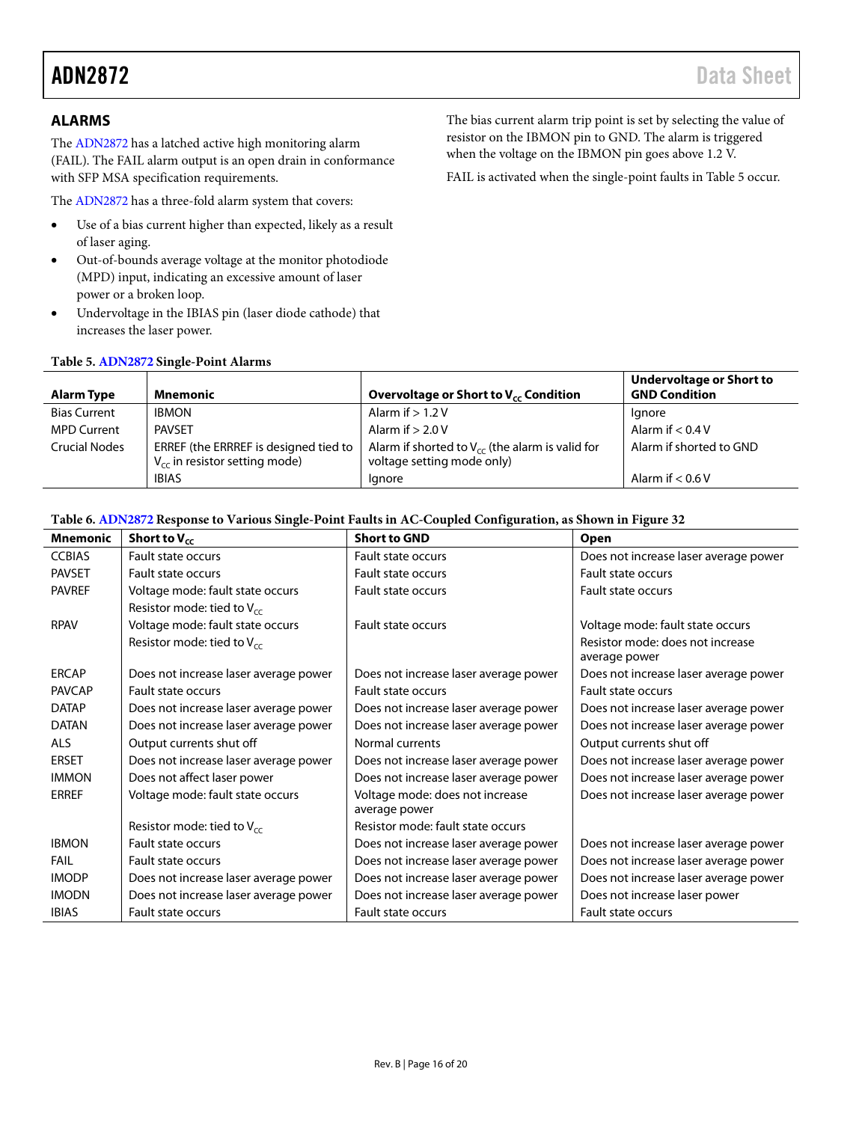#### <span id="page-15-0"></span>**ALARMS**

The [ADN2872](http://www.analog.com/ADN2872?doc=ADN2872.pdf) has a latched active high monitoring alarm (FAIL). The FAIL alarm output is an open drain in conformance with SFP MSA specification requirements.

The [ADN2872](http://www.analog.com/ADN2872?doc=ADN2872.pdf) has a three-fold alarm system that covers:

- Use of a bias current higher than expected, likely as a result of laser aging.
- Out-of-bounds average voltage at the monitor photodiode (MPD) input, indicating an excessive amount of laser power or a broken loop.
- Undervoltage in the IBIAS pin (laser diode cathode) that increases the laser power.

The bias current alarm trip point is set by selecting the value of resistor on the IBMON pin to GND. The alarm is triggered when the voltage on the IBMON pin goes above 1.2 V.

FAIL is activated when the single-point faults i[n Table 5](#page-15-1) occur.

#### <span id="page-15-1"></span>**Table 5[. ADN2872](http://www.analog.com/ADN2872?doc=ADN2872.pdf) Single-Point Alarms**

| Alarm Type           | <b>Mnemonic</b>                                                             | Overvoltage or Short to $V_{cc}$ Condition                                         | Undervoltage or Short to<br><b>GND Condition</b> |
|----------------------|-----------------------------------------------------------------------------|------------------------------------------------------------------------------------|--------------------------------------------------|
| <b>Bias Current</b>  | <b>IBMON</b>                                                                | Alarm if $> 1.2 V$                                                                 | lgnore                                           |
| <b>MPD Current</b>   | <b>PAVSET</b>                                                               | Alarm if $> 2.0 V$                                                                 | Alarm if $< 0.4$ V                               |
| <b>Crucial Nodes</b> | ERREF (the ERRREF is designed tied to<br>$V_{cc}$ in resistor setting mode) | Alarm if shorted to $V_{cc}$ (the alarm is valid for<br>voltage setting mode only) | Alarm if shorted to GND                          |
|                      | <b>IBIAS</b>                                                                | lgnore                                                                             | Alarm if $< 0.6 V$                               |

#### **Table 6[. ADN2872](http://www.analog.com/ADN2872?doc=ADN2872.pdf) Response to Various Single-Point Faults in AC-Coupled Configuration, as Shown in [Figure 32](#page-14-2)**

| <b>Mnemonic</b> | Short to $V_{cc}$                     | <b>Short to GND</b>                              | Open                                              |
|-----------------|---------------------------------------|--------------------------------------------------|---------------------------------------------------|
| <b>CCBIAS</b>   | Fault state occurs                    | Fault state occurs                               | Does not increase laser average power             |
| <b>PAVSET</b>   | Fault state occurs                    | Fault state occurs                               | Fault state occurs                                |
| <b>PAVREF</b>   | Voltage mode: fault state occurs      | Fault state occurs                               | Fault state occurs                                |
|                 | Resistor mode: tied to $V_{cc}$       |                                                  |                                                   |
| <b>RPAV</b>     | Voltage mode: fault state occurs      | Fault state occurs                               | Voltage mode: fault state occurs                  |
|                 | Resistor mode: tied to $V_{cc}$       |                                                  | Resistor mode: does not increase<br>average power |
| <b>ERCAP</b>    | Does not increase laser average power | Does not increase laser average power            | Does not increase laser average power             |
| <b>PAVCAP</b>   | Fault state occurs                    | Fault state occurs                               | Fault state occurs                                |
| <b>DATAP</b>    | Does not increase laser average power | Does not increase laser average power            | Does not increase laser average power             |
| <b>DATAN</b>    | Does not increase laser average power | Does not increase laser average power            | Does not increase laser average power             |
| <b>ALS</b>      | Output currents shut off              | Normal currents                                  | Output currents shut off                          |
| <b>ERSET</b>    | Does not increase laser average power | Does not increase laser average power            | Does not increase laser average power             |
| <b>IMMON</b>    | Does not affect laser power           | Does not increase laser average power            | Does not increase laser average power             |
| <b>ERREF</b>    | Voltage mode: fault state occurs      | Voltage mode: does not increase<br>average power | Does not increase laser average power             |
|                 | Resistor mode: tied to $V_{cc}$       | Resistor mode: fault state occurs                |                                                   |
| <b>IBMON</b>    | Fault state occurs                    | Does not increase laser average power            | Does not increase laser average power             |
| <b>FAIL</b>     | Fault state occurs                    | Does not increase laser average power            | Does not increase laser average power             |
| <b>IMODP</b>    | Does not increase laser average power | Does not increase laser average power            | Does not increase laser average power             |
| <b>IMODN</b>    | Does not increase laser average power | Does not increase laser average power            | Does not increase laser power                     |
| <b>IBIAS</b>    | Fault state occurs                    | Fault state occurs                               | Fault state occurs                                |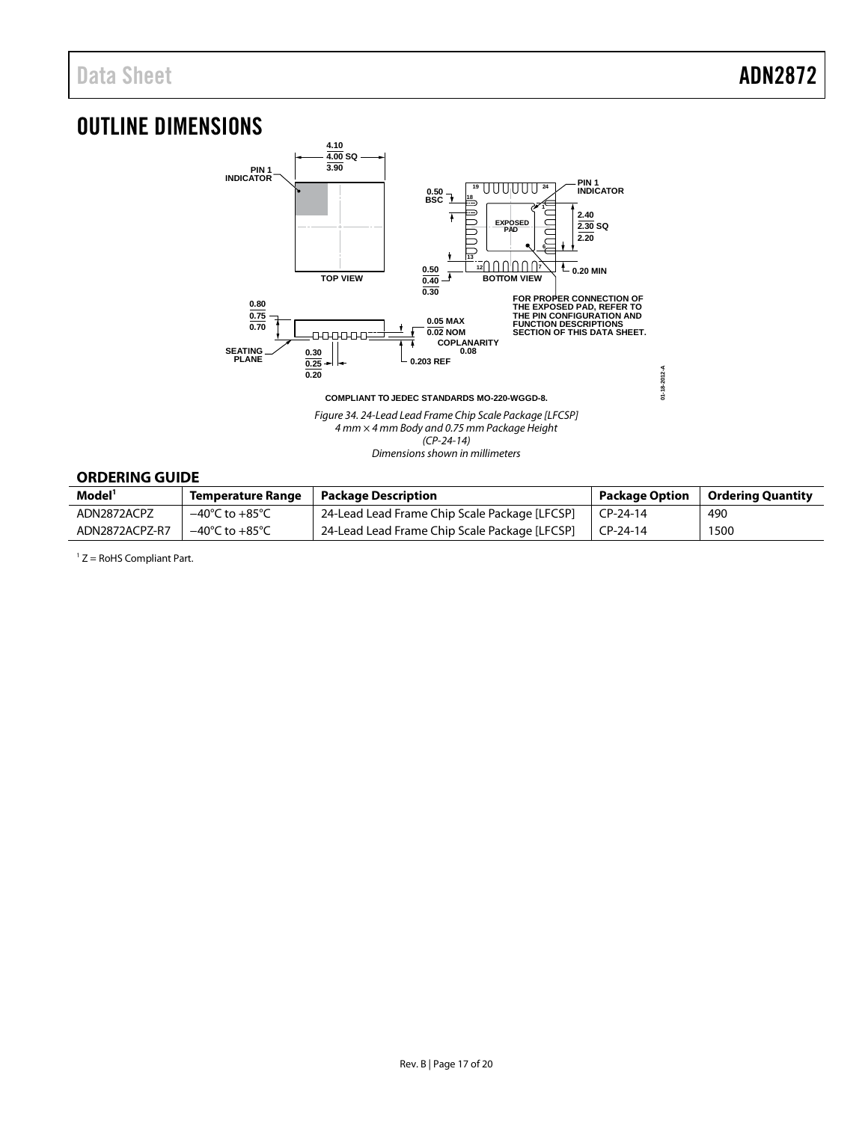## <span id="page-16-0"></span>OUTLINE DIMENSIONS



*4 mm × 4 mm Body and 0.75 mm Package Height (CP-24-14) Dimensions shown in millimeters*

#### <span id="page-16-1"></span>**ORDERING GUIDE**

| Model <sup>1</sup> | Temperature Range | <b>Package Description</b>                    | <b>Package Option</b> | <b>Ordering Quantity</b> |
|--------------------|-------------------|-----------------------------------------------|-----------------------|--------------------------|
| ADN2872ACPZ        | −40°C to +85°C    | 24-Lead Lead Frame Chip Scale Package [LFCSP] | CP-24-14              | 490                      |
| ADN2872ACPZ-R7     | –40°C to +85°C    | 24-Lead Lead Frame Chip Scale Package [LFCSP] | $CP-24-14$            | 1500                     |

 $1 Z =$  RoHS Compliant Part.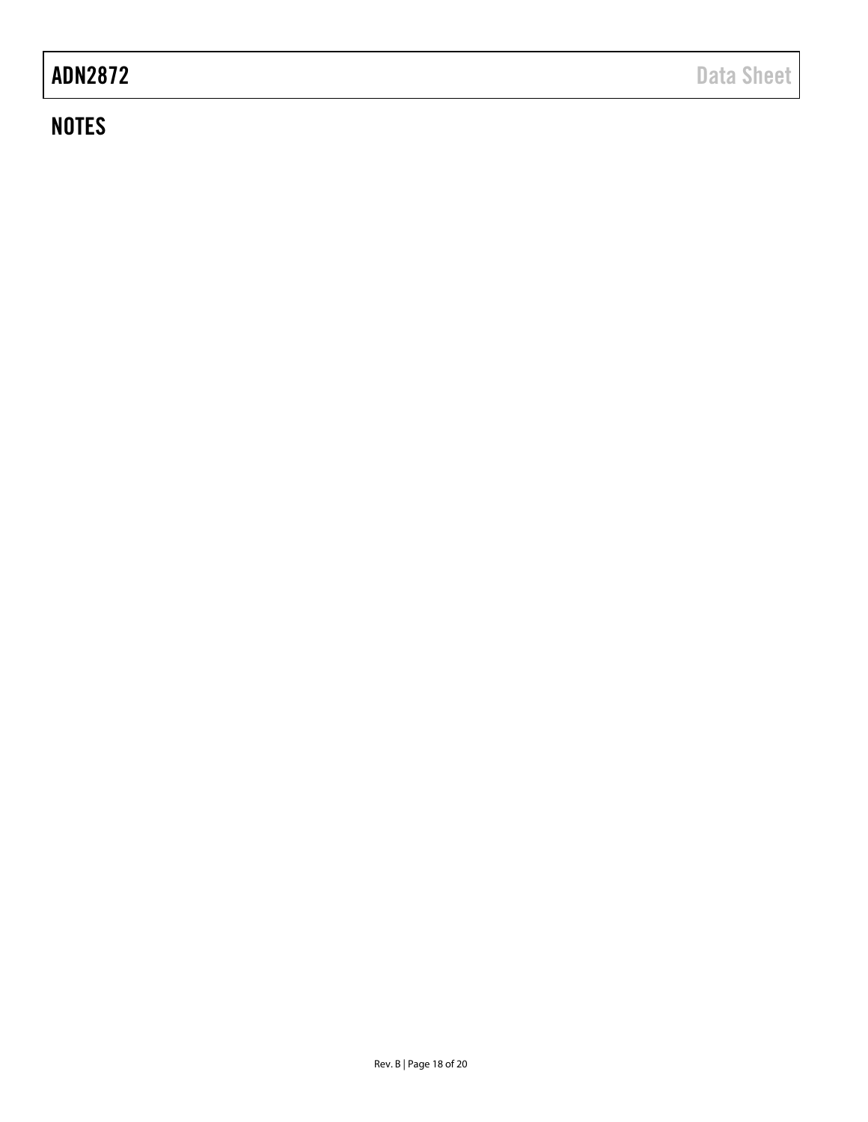## **NOTES**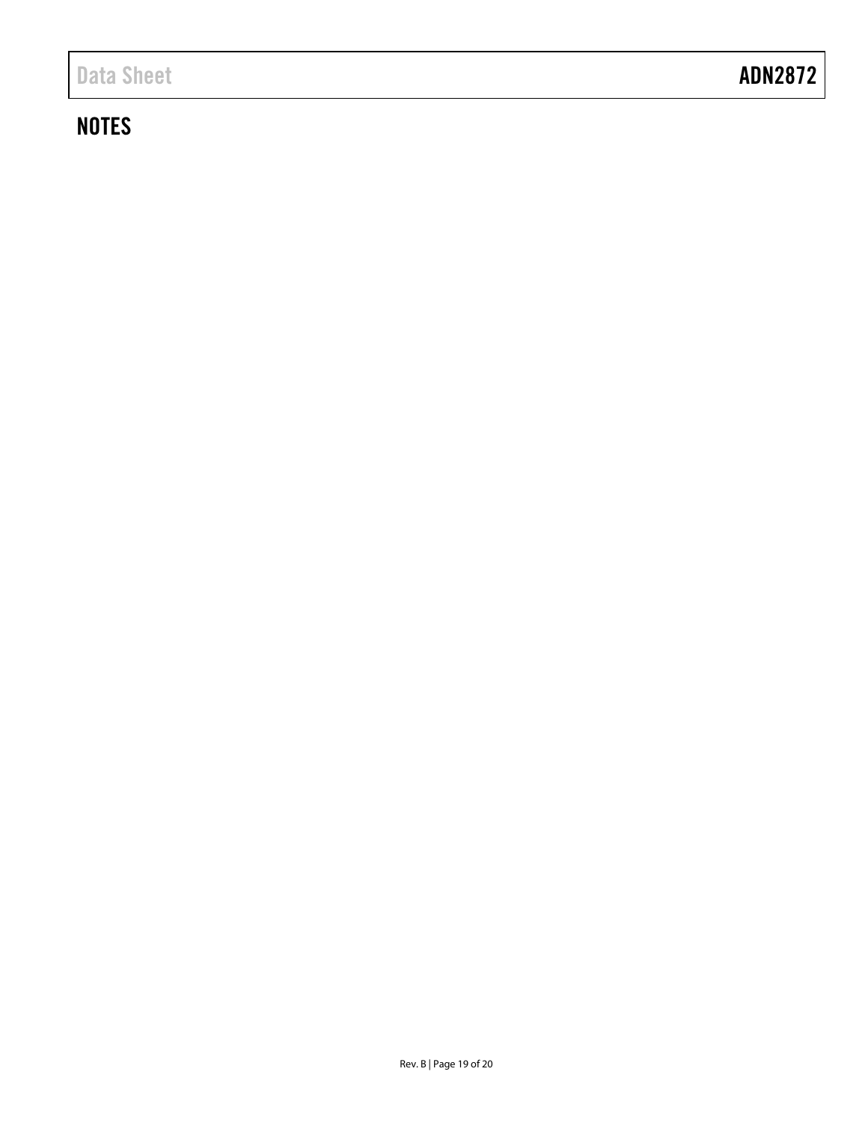## **NOTES**